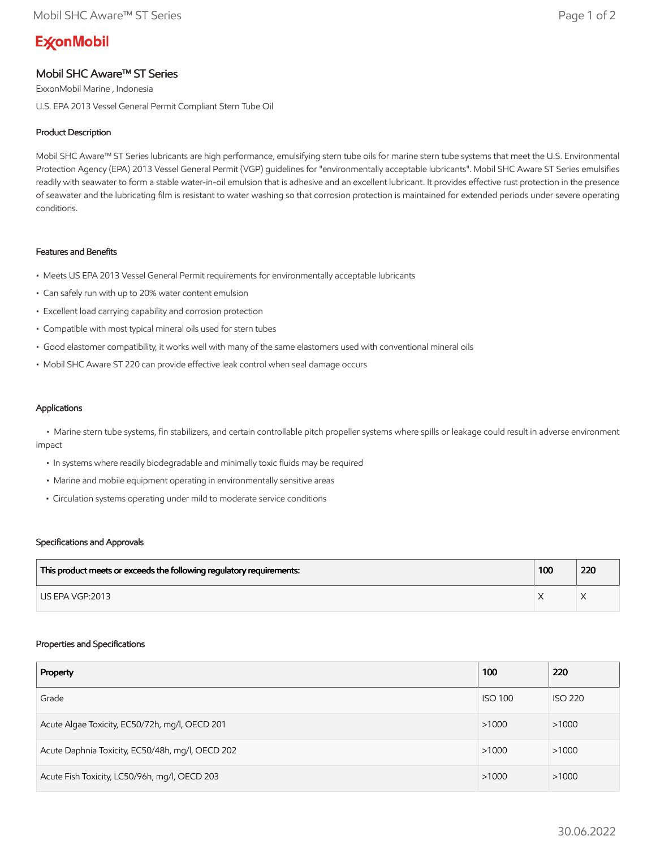# **ExconMobil**

## Mobil SHC Aware™ ST Series

ExxonMobil Marine , Indonesia U.S. EPA 2013 Vessel General Permit Compliant Stern Tube Oil

### Product Description

Mobil SHC Aware™ ST Series lubricants are high performance, emulsifying stern tube oils for marine stern tube systems that meet the U.S. Environmental Protection Agency (EPA) 2013 Vessel General Permit (VGP) guidelines for "environmentally acceptable lubricants". Mobil SHC Aware ST Series emulsifies readily with seawater to form a stable water-in-oil emulsion that is adhesive and an excellent lubricant. It provides effective rust protection in the presence of seawater and the lubricating film is resistant to water washing so that corrosion protection is maintained for extended periods under severe operating conditions.

#### Features and Benefits

- Meets US EPA 2013 Vessel General Permit requirements for environmentally acceptable lubricants
- Can safely run with up to 20% water content emulsion
- Excellent load carrying capability and corrosion protection
- Compatible with most typical mineral oils used for stern tubes
- Good elastomer compatibility, it works well with many of the same elastomers used with conventional mineral oils
- Mobil SHC Aware ST 220 can provide effective leak control when seal damage occurs

#### Applications

 • Marine stern tube systems, fin stabilizers, and certain controllable pitch propeller systems where spills or leakage could result in adverse environment impact

- In systems where readily biodegradable and minimally toxic fluids may be required
- Marine and mobile equipment operating in environmentally sensitive areas
- Circulation systems operating under mild to moderate service conditions

#### Specifications and Approvals

| This product meets or exceeds the following regulatory requirements: | 100 | 220 |
|----------------------------------------------------------------------|-----|-----|
| LIS EPA VGP:2013                                                     |     |     |

#### Properties and Specifications

| Property                                         | 100            | 220            |
|--------------------------------------------------|----------------|----------------|
| Grade                                            | <b>ISO 100</b> | <b>ISO 220</b> |
| Acute Algae Toxicity, EC50/72h, mg/l, OECD 201   | >1000          | >1000          |
| Acute Daphnia Toxicity, EC50/48h, mg/l, OECD 202 | >1000          | >1000          |
| Acute Fish Toxicity, LC50/96h, mg/l, OECD 203    | >1000          | >1000          |